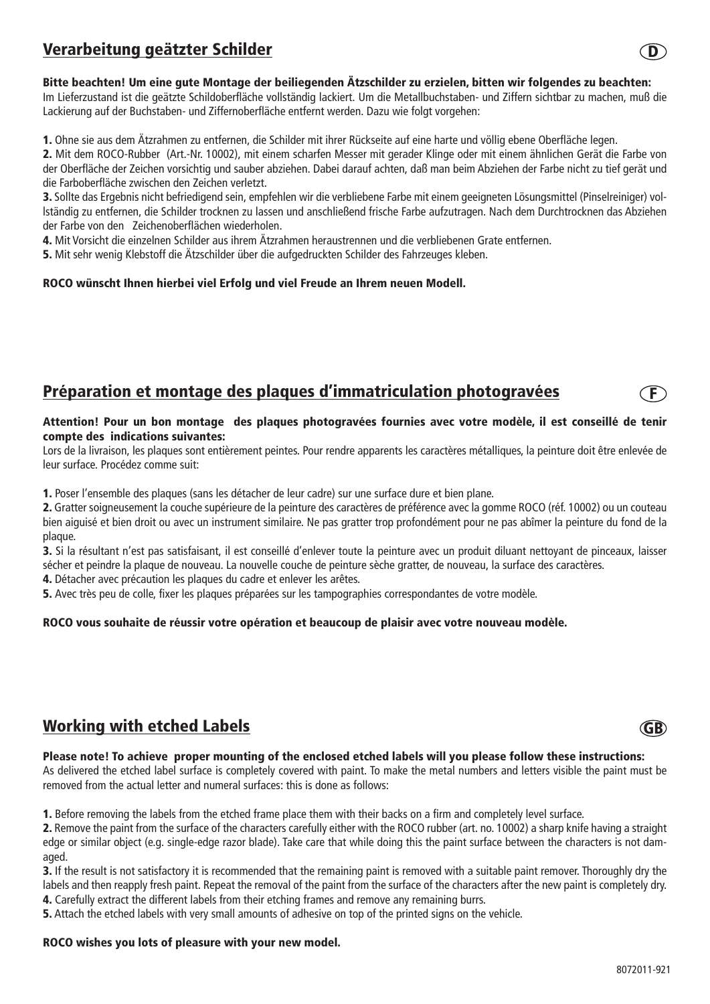# Verarbeitung geätzter Schilder

### Bitte beachten! Um eine gute Montage der beiliegenden Ätzschilder zu erzielen, bitten wir folgendes zu beachten:

Im Lieferzustand ist die geätzte Schildoberfläche vollständig lackiert. Um die Metallbuchstaben- und Ziffern sichtbar zu machen, muß die Lackierung auf der Buchstaben- und Ziffernoberfläche entfernt werden. Dazu wie folgt vorgehen:

1. Ohne sie aus dem Ätzrahmen zu entfernen, die Schilder mit ihrer Rückseite auf eine harte und völlig ebene Oberfläche legen.

2. Mit dem ROCO-Rubber (Art.-Nr. 10002), mit einem scharfen Messer mit gerader Klinge oder mit einem ähnlichen Gerät die Farbe von der Oberfläche der Zeichen vorsichtig und sauber abziehen. Dabei darauf achten, daß man beim Abziehen der Farbe nicht zu tief gerät und die Farboberfläche zwischen den Zeichen verletzt.

3. Sollte das Ergebnis nicht befriedigend sein, empfehlen wir die verbliebene Farbe mit einem geeigneten Lösungsmittel (Pinselreiniger) vollständig zu entfernen, die Schilder trocknen zu lassen und anschließend frische Farbe aufzutragen. Nach dem Durchtrocknen das Abziehen der Farbe von den Zeichenoberflächen wiederholen.

4. Mit Vorsicht die einzelnen Schilder aus ihrem Ätzrahmen heraustrennen und die verbliebenen Grate entfernen.

5. Mit sehr wenig Klebstoff die Ätzschilder über die aufgedruckten Schilder des Fahrzeuges kleben.

#### ROCO wünscht Ihnen hierbei viel Erfolg und viel Freude an Ihrem neuen Modell.

## Préparation et montage des plaques d'immatriculation photogravées

#### Attention! Pour un bon montage des plaques photogravées fournies avec votre modèle, il est conseillé de tenir compte des indications suivantes:

Lors de la livraison, les plaques sont entièrement peintes. Pour rendre apparents les caractères métalliques, la peinture doit être enlevée de leur surface. Procédez comme suit:

1. Poser l'ensemble des plaques (sans les détacher de leur cadre) sur une surface dure et bien plane.

2. Gratter soigneusement la couche supérieure de la peinture des caractères de préférence avec la gomme ROCO (réf. 10002) ou un couteau bien aiguisé et bien droit ou avec un instrument similaire. Ne pas gratter trop profondément pour ne pas abîmer la peinture du fond de la plaque.

3. Si la résultant n'est pas satisfaisant, il est conseillé d'enlever toute la peinture avec un produit diluant nettoyant de pinceaux, laisser sécher et peindre la plaque de nouveau. La nouvelle couche de peinture sèche gratter, de nouveau, la surface des caractères.

4. Détacher avec précaution les plaques du cadre et enlever les arêtes.

5. Avec très peu de colle, fixer les plaques préparées sur les tampographies correspondantes de votre modèle.

### ROCO vous souhaite de réussir votre opération et beaucoup de plaisir avec votre nouveau modèle.

## Working with etched Labels

#### Please note! To achieve proper mounting of the enclosed etched labels will you please follow these instructions:

As delivered the etched label surface is completely covered with paint. To make the metal numbers and letters visible the paint must be removed from the actual letter and numeral surfaces: this is done as follows:

1. Before removing the labels from the etched frame place them with their backs on a firm and completely level surface.

2. Remove the paint from the surface of the characters carefully either with the ROCO rubber (art. no. 10002) a sharp knife having a straight edge or similar object (e.g. single-edge razor blade). Take care that while doing this the paint surface between the characters is not damaged.

3. If the result is not satisfactory it is recommended that the remaining paint is removed with a suitable paint remover. Thoroughly dry the labels and then reapply fresh paint. Repeat the removal of the paint from the surface of the characters after the new paint is completely dry. 4. Carefully extract the different labels from their etching frames and remove any remaining burrs.

5. Attach the etched labels with very small amounts of adhesive on top of the printed signs on the vehicle.

#### ROCO wishes you lots of pleasure with your new model.





 $\ket{\mathsf{F}}$